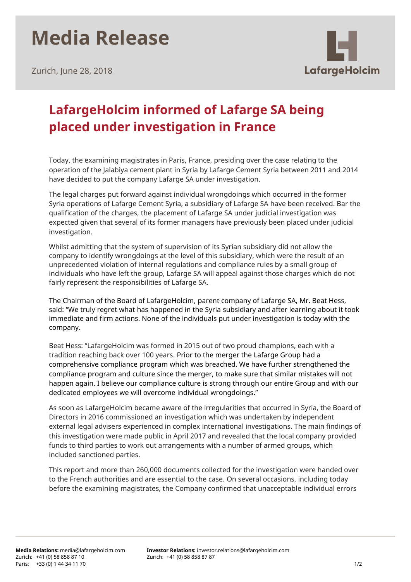## **Media Release**

Zurich, June 28, 2018



## **LafargeHolcim informed of Lafarge SA being placed under investigation in France**

Today, the examining magistrates in Paris, France, presiding over the case relating to the operation of the Jalabiya cement plant in Syria by Lafarge Cement Syria between 2011 and 2014 have decided to put the company Lafarge SA under investigation.

The legal charges put forward against individual wrongdoings which occurred in the former Syria operations of Lafarge Cement Syria, a subsidiary of Lafarge SA have been received. Bar the qualification of the charges, the placement of Lafarge SA under judicial investigation was expected given that several of its former managers have previously been placed under judicial investigation.

Whilst admitting that the system of supervision of its Syrian subsidiary did not allow the company to identify wrongdoings at the level of this subsidiary, which were the result of an unprecedented violation of internal regulations and compliance rules by a small group of individuals who have left the group, Lafarge SA will appeal against those charges which do not fairly represent the responsibilities of Lafarge SA.

The Chairman of the Board of LafargeHolcim, parent company of Lafarge SA, Mr. Beat Hess, said: "We truly regret what has happened in the Syria subsidiary and after learning about it took immediate and firm actions. None of the individuals put under investigation is today with the company.

Beat Hess: "LafargeHolcim was formed in 2015 out of two proud champions, each with a tradition reaching back over 100 years. Prior to the merger the Lafarge Group had a comprehensive compliance program which was breached. We have further strengthened the compliance program and culture since the merger, to make sure that similar mistakes will not happen again. I believe our compliance culture is strong through our entire Group and with our dedicated employees we will overcome individual wrongdoings."

As soon as LafargeHolcim became aware of the irregularities that occurred in Syria, the Board of Directors in 2016 commissioned an investigation which was undertaken by independent external legal advisers experienced in complex international investigations. The main findings of this investigation were made public in April 2017 and revealed that the local company provided funds to third parties to work out arrangements with a number of armed groups, which included sanctioned parties.

This report and more than 260,000 documents collected for the investigation were handed over to the French authorities and are essential to the case. On several occasions, including today before the examining magistrates, the Company confirmed that unacceptable individual errors